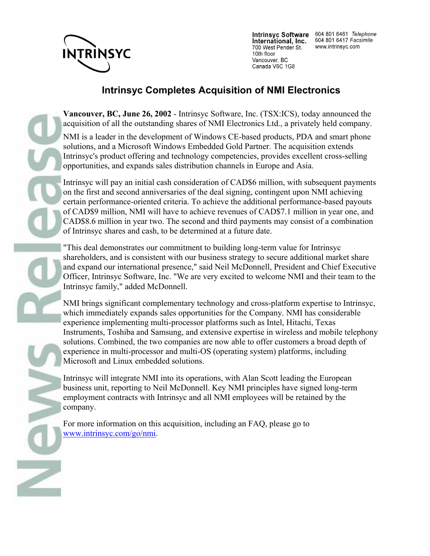

International, Inc. 700 West Pender St. 10th floor Vancouver, BC Canada V6C 1G8

Intrinsyc Software 604 801 6461 Telephone 604 801 6417 Facsimile www.intrinsyc.com

## **Intrinsyc Completes Acquisition of NMI Electronics**

**Vancouver, BC, June 26, 2002** - Intrinsyc Software, Inc. (TSX:ICS), today announced the acquisition of all the outstanding shares of NMI Electronics Ltd., a privately held company.

NMI is a leader in the development of Windows CE-based products, PDA and smart phone solutions, and a Microsoft Windows Embedded Gold Partner. The acquisition extends Intrinsyc's product offering and technology competencies, provides excellent cross-selling opportunities, and expands sales distribution channels in Europe and Asia.

Intrinsyc will pay an initial cash consideration of CAD\$6 million, with subsequent payments on the first and second anniversaries of the deal signing, contingent upon NMI achieving certain performance-oriented criteria. To achieve the additional performance-based payouts of CAD\$9 million, NMI will have to achieve revenues of CAD\$7.1 million in year one, and CAD\$8.6 million in year two. The second and third payments may consist of a combination of Intrinsyc shares and cash, to be determined at a future date.

"This deal demonstrates our commitment to building long-term value for Intrinsyc shareholders, and is consistent with our business strategy to secure additional market share and expand our international presence," said Neil McDonnell, President and Chief Executive Officer, Intrinsyc Software, Inc. "We are very excited to welcome NMI and their team to the Intrinsyc family," added McDonnell.

NMI brings significant complementary technology and cross-platform expertise to Intrinsyc, which immediately expands sales opportunities for the Company. NMI has considerable experience implementing multi-processor platforms such as Intel, Hitachi, Texas Instruments, Toshiba and Samsung, and extensive expertise in wireless and mobile telephony solutions. Combined, the two companies are now able to offer customers a broad depth of experience in multi-processor and multi-OS (operating system) platforms, including Microsoft and Linux embedded solutions.

Intrinsyc will integrate NMI into its operations, with Alan Scott leading the European business unit, reporting to Neil McDonnell. Key NMI principles have signed long-term employment contracts with Intrinsyc and all NMI employees will be retained by the company.

For more information on this acquisition, including an FAQ, please go to www.intrinsyc.com/go/nmi.